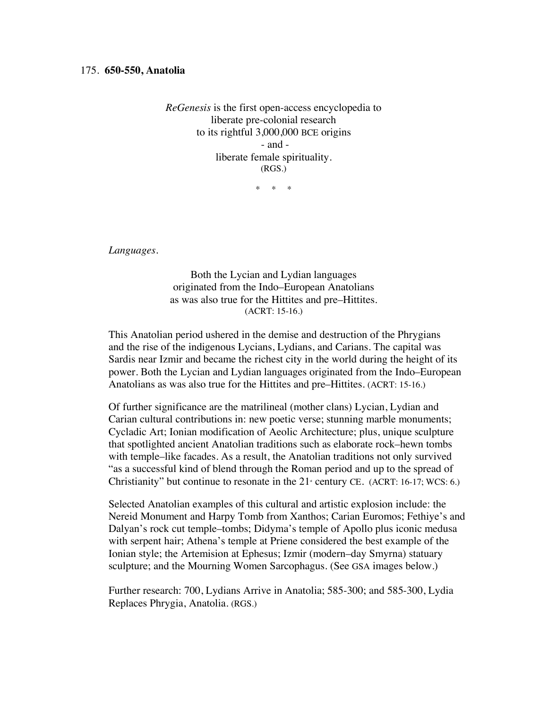*ReGenesis* is the first open-access encyclopedia to liberate pre-colonial research to its rightful 3,000,000 BCE origins - and liberate female spirituality. (RGS.)

\* \* \*

*Languages.*

Both the Lycian and Lydian languages originated from the Indo–European Anatolians as was also true for the Hittites and pre–Hittites. (ACRT: 15-16.)

This Anatolian period ushered in the demise and destruction of the Phrygians and the rise of the indigenous Lycians, Lydians, and Carians. The capital was Sardis near Izmir and became the richest city in the world during the height of its power. Both the Lycian and Lydian languages originated from the Indo–European Anatolians as was also true for the Hittites and pre–Hittites. (ACRT: 15-16.)

Of further significance are the matrilineal (mother clans) Lycian, Lydian and Carian cultural contributions in: new poetic verse; stunning marble monuments; Cycladic Art; Ionian modification of Aeolic Architecture; plus, unique sculpture that spotlighted ancient Anatolian traditions such as elaborate rock–hewn tombs with temple–like facades. As a result, the Anatolian traditions not only survived "as a successful kind of blend through the Roman period and up to the spread of Christianity" but continue to resonate in the  $21$ <sup>s</sup> century CE. (ACRT: 16-17; WCS: 6.)

Selected Anatolian examples of this cultural and artistic explosion include: the Nereid Monument and Harpy Tomb from Xanthos; Carian Euromos; Fethiye's and Dalyan's rock cut temple–tombs; Didyma's temple of Apollo plus iconic medusa with serpent hair; Athena's temple at Priene considered the best example of the Ionian style; the Artemision at Ephesus; Izmir (modern–day Smyrna) statuary sculpture; and the Mourning Women Sarcophagus. (See GSA images below.)

Further research: 700, Lydians Arrive in Anatolia; 585-300; and 585-300, Lydia Replaces Phrygia, Anatolia. (RGS.)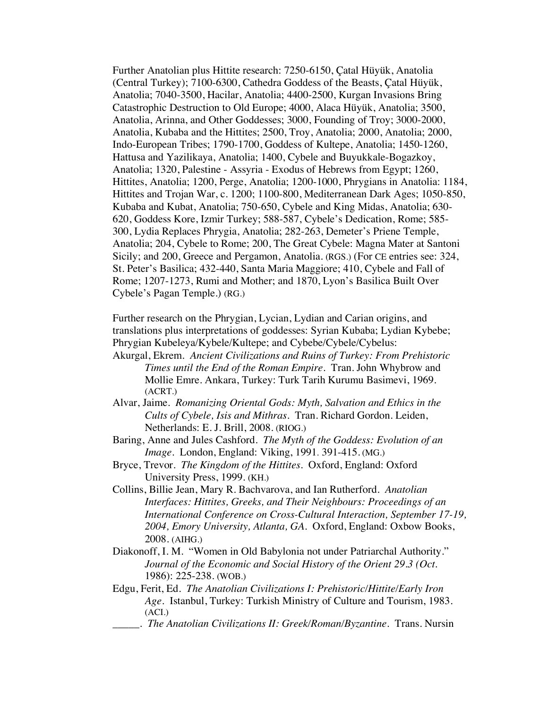Further Anatolian plus Hittite research: 7250-6150, Çatal Hüyük, Anatolia (Central Turkey); 7100-6300, Cathedra Goddess of the Beasts, Çatal Hüyük, Anatolia; 7040-3500, Hacilar, Anatolia; 4400-2500, Kurgan Invasions Bring Catastrophic Destruction to Old Europe; 4000, Alaca Hüyük, Anatolia; 3500, Anatolia, Arinna, and Other Goddesses; 3000, Founding of Troy; 3000-2000, Anatolia, Kubaba and the Hittites; 2500, Troy, Anatolia; 2000, Anatolia; 2000, Indo-European Tribes; 1790-1700, Goddess of Kultepe, Anatolia; 1450-1260, Hattusa and Yazilikaya, Anatolia; 1400, Cybele and Buyukkale-Bogazkoy, Anatolia; 1320, Palestine - Assyria - Exodus of Hebrews from Egypt; 1260, Hittites, Anatolia; 1200, Perge, Anatolia; 1200-1000, Phrygians in Anatolia: 1184, Hittites and Trojan War, c. 1200; 1100-800, Mediterranean Dark Ages; 1050-850, Kubaba and Kubat, Anatolia; 750-650, Cybele and King Midas, Anatolia; 630- 620, Goddess Kore, Izmir Turkey; 588-587, Cybele's Dedication, Rome; 585- 300, Lydia Replaces Phrygia, Anatolia; 282-263, Demeter's Priene Temple, Anatolia; 204, Cybele to Rome; 200, The Great Cybele: Magna Mater at Santoni Sicily; and 200, Greece and Pergamon, Anatolia. (RGS.) (For CE entries see: 324, St. Peter's Basilica; 432-440, Santa Maria Maggiore; 410, Cybele and Fall of Rome; 1207-1273, Rumi and Mother; and 1870, Lyon's Basilica Built Over Cybele's Pagan Temple.) (RG.)

Further research on the Phrygian, Lycian, Lydian and Carian origins, and translations plus interpretations of goddesses: Syrian Kubaba; Lydian Kybebe; Phrygian Kubeleya/Kybele/Kultepe; and Cybebe/Cybele/Cybelus:

- Akurgal, Ekrem*. Ancient Civilizations and Ruins of Turkey: From Prehistoric Times until the End of the Roman Empire*. Tran. John Whybrow and Mollie Emre. Ankara, Turkey: Turk Tarih Kurumu Basimevi, 1969. (ACRT.)
- Alvar, Jaime. *Romanizing Oriental Gods: Myth, Salvation and Ethics in the Cults of Cybele, Isis and Mithras*. Tran. Richard Gordon. Leiden, Netherlands: E. J. Brill, 2008. (RIOG.)
- Baring, Anne and Jules Cashford. *The Myth of the Goddess: Evolution of an Image*. London, England: Viking, 1991. 391-415. (MG.)
- Bryce, Trevor. *The Kingdom of the Hittites*. Oxford, England: Oxford University Press, 1999. (KH.)
- Collins, Billie Jean, Mary R. Bachvarova, and Ian Rutherford. *Anatolian Interfaces: Hittites, Greeks, and Their Neighbours: Proceedings of an International Conference on Cross-Cultural Interaction, September 17-19, 2004, Emory University, Atlanta, GA.* Oxford, England: Oxbow Books, 2008. (AIHG.)
- Diakonoff, I. M. "Women in Old Babylonia not under Patriarchal Authority." *Journal of the Economic and Social History of the Orient 29.3 (Oct.*  1986): 225-238. (WOB.)
- Edgu, Ferit, Ed. *The Anatolian Civilizations I: Prehistoric/Hittite/Early Iron Age*. Istanbul, Turkey: Turkish Ministry of Culture and Tourism, 1983. (ACI.)
	- \_\_\_\_\_. *The Anatolian Civilizations II: Greek/Roman/Byzantine*. Trans. Nursin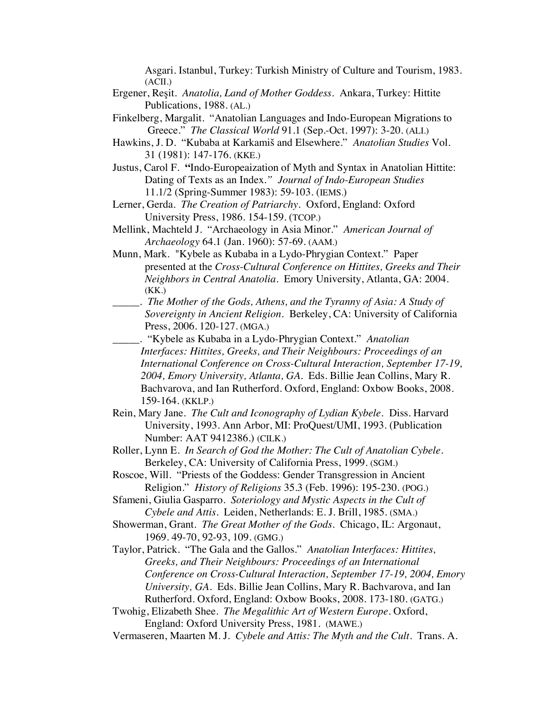Asgari. Istanbul, Turkey: Turkish Ministry of Culture and Tourism, 1983.  $(ACII.)$ 

- Ergener, Reşit. *Anatolia, Land of Mother Goddess*. Ankara, Turkey: Hittite Publications, 1988. (AL.)
- Finkelberg, Margalit. "Anatolian Languages and Indo-European Migrations to Greece." *The Classical World* 91.1 (Sep.-Oct. 1997): 3-20. (ALI.)
- Hawkins, J. D. "Kubaba at Karkamiš and Elsewhere." *Anatolian Studies* Vol. 31 (1981): 147-176. (KKE.)
- Justus, Carol F. **"**Indo-Europeaization of Myth and Syntax in Anatolian Hittite: Dating of Texts as an Index*." Journal of Indo-European Studies* 11.1/2 (Spring-Summer 1983): 59-103. (IEMS.)
- Lerner, Gerda. *The Creation of Patriarchy.* Oxford, England: Oxford University Press, 1986. 154-159. (TCOP.)
- Mellink, Machteld J. "Archaeology in Asia Minor." *American Journal of Archaeology* 64.1 (Jan. 1960): 57-69. (AAM.)
- Munn, Mark. "Kybele as Kubaba in a Lydo-Phrygian Context." Paper presented at the *Cross-Cultural Conference on Hittites, Greeks and Their Neighbors in Central Anatolia.* Emory University, Atlanta, GA: 2004. (KK.)
- \_\_\_\_\_. *The Mother of the Gods, Athens, and the Tyranny of Asia: A Study of Sovereignty in Ancient Religion.* Berkeley, CA: University of California Press, 2006. 120-127. (MGA.)
- \_\_\_\_\_. "Kybele as Kubaba in a Lydo-Phrygian Context." *Anatolian Interfaces: Hittites, Greeks, and Their Neighbours: Proceedings of an International Conference on Cross-Cultural Interaction, September 17-19, 2004, Emory University, Atlanta, GA.* Eds. Billie Jean Collins, Mary R. Bachvarova, and Ian Rutherford. Oxford, England: Oxbow Books, 2008. 159-164. (KKLP.)
- Rein, Mary Jane. *The Cult and Iconography of Lydian Kybele.* Diss. Harvard University, 1993. Ann Arbor, MI: ProQuest/UMI, 1993. (Publication Number: AAT 9412386.) (CILK.)
- Roller, Lynn E. *In Search of God the Mother: The Cult of Anatolian Cybele.* Berkeley, CA: University of California Press, 1999. (SGM.)
- Roscoe, Will. "Priests of the Goddess: Gender Transgression in Ancient Religion." *History of Religions* 35.3 (Feb. 1996): 195-230. (POG.)
- Sfameni, Giulia Gasparro. *Soteriology and Mystic Aspects in the Cult of Cybele and Attis.* Leiden, Netherlands: E. J. Brill, 1985. (SMA.)
- Showerman, Grant. *The Great Mother of the Gods*. Chicago, IL: Argonaut, 1969. 49-70, 92-93, 109. (GMG.)
- Taylor, Patrick. "The Gala and the Gallos." *Anatolian Interfaces: Hittites, Greeks, and Their Neighbours: Proceedings of an International Conference on Cross-Cultural Interaction, September 17-19, 2004, Emory University, GA.* Eds. Billie Jean Collins, Mary R. Bachvarova, and Ian Rutherford. Oxford, England: Oxbow Books, 2008. 173-180. (GATG.)
- Twohig, Elizabeth Shee. *The Megalithic Art of Western Europe*. Oxford, England: Oxford University Press, 1981. (MAWE.)
- Vermaseren, Maarten M. J. *Cybele and Attis: The Myth and the Cult.* Trans. A.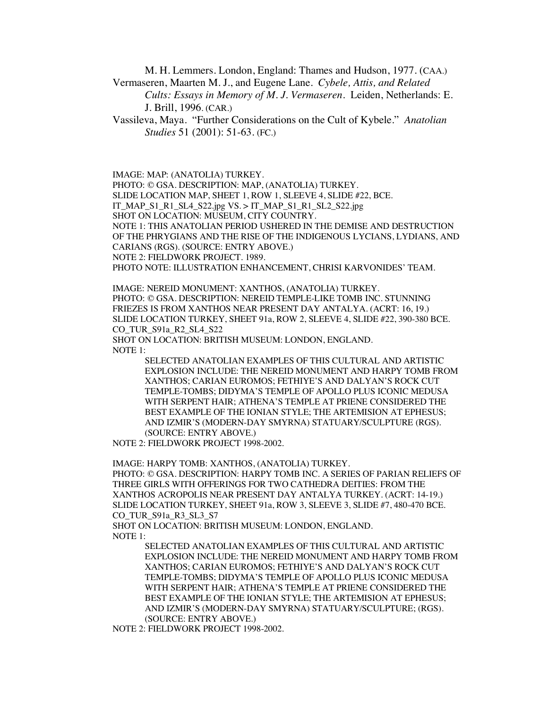M. H. Lemmers. London, England: Thames and Hudson, 1977. (CAA.) Vermaseren, Maarten M. J., and Eugene Lane. *Cybele, Attis, and Related*

*Cults: Essays in Memory of M. J. Vermaseren*. Leiden, Netherlands: E. J. Brill, 1996. (CAR.)

Vassileva, Maya. "Further Considerations on the Cult of Kybele." *Anatolian Studies* 51 (2001): 51-63. (FC.)

IMAGE: MAP: (ANATOLIA) TURKEY.

PHOTO: © GSA. DESCRIPTION: MAP, (ANATOLIA) TURKEY.

SLIDE LOCATION MAP, SHEET 1, ROW 1, SLEEVE 4, SLIDE #22, BCE.

IT\_MAP\_S1\_R1\_SL4\_S22.jpg VS. > IT\_MAP\_S1\_R1\_SL2\_S22.jpg

SHOT ON LOCATION: MUSEUM, CITY COUNTRY.

NOTE 1: THIS ANATOLIAN PERIOD USHERED IN THE DEMISE AND DESTRUCTION OF THE PHRYGIANS AND THE RISE OF THE INDIGENOUS LYCIANS, LYDIANS, AND CARIANS (RGS). (SOURCE: ENTRY ABOVE.)

NOTE 2: FIELDWORK PROJECT. 1989.

PHOTO NOTE: ILLUSTRATION ENHANCEMENT, CHRISI KARVONIDES' TEAM.

IMAGE: NEREID MONUMENT: XANTHOS, (ANATOLIA) TURKEY. PHOTO: © GSA. DESCRIPTION: NEREID TEMPLE-LIKE TOMB INC. STUNNING FRIEZES IS FROM XANTHOS NEAR PRESENT DAY ANTALYA. (ACRT: 16, 19.) SLIDE LOCATION TURKEY, SHEET 91a, ROW 2, SLEEVE 4, SLIDE #22, 390-380 BCE. CO\_TUR\_S91a\_R2\_SL4\_S22

SHOT ON LOCATION: BRITISH MUSEUM: LONDON, ENGLAND. NOTE 1:

> SELECTED ANATOLIAN EXAMPLES OF THIS CULTURAL AND ARTISTIC EXPLOSION INCLUDE: THE NEREID MONUMENT AND HARPY TOMB FROM XANTHOS; CARIAN EUROMOS; FETHIYE'S AND DALYAN'S ROCK CUT TEMPLE-TOMBS; DIDYMA'S TEMPLE OF APOLLO PLUS ICONIC MEDUSA WITH SERPENT HAIR; ATHENA'S TEMPLE AT PRIENE CONSIDERED THE BEST EXAMPLE OF THE IONIAN STYLE; THE ARTEMISION AT EPHESUS; AND IZMIR'S (MODERN-DAY SMYRNA) STATUARY/SCULPTURE (RGS). (SOURCE: ENTRY ABOVE.)

NOTE 2: FIELDWORK PROJECT 1998-2002.

IMAGE: HARPY TOMB: XANTHOS, (ANATOLIA) TURKEY.

PHOTO: © GSA. DESCRIPTION: HARPY TOMB INC. A SERIES OF PARIAN RELIEFS OF THREE GIRLS WITH OFFERINGS FOR TWO CATHEDRA DEITIES: FROM THE XANTHOS ACROPOLIS NEAR PRESENT DAY ANTALYA TURKEY. (ACRT: 14-19.) SLIDE LOCATION TURKEY, SHEET 91a, ROW 3, SLEEVE 3, SLIDE #7, 480-470 BCE. CO\_TUR\_S91a\_R3\_SL3\_S7

SHOT ON LOCATION: BRITISH MUSEUM: LONDON, ENGLAND. NOTE 1:

> SELECTED ANATOLIAN EXAMPLES OF THIS CULTURAL AND ARTISTIC EXPLOSION INCLUDE: THE NEREID MONUMENT AND HARPY TOMB FROM XANTHOS; CARIAN EUROMOS; FETHIYE'S AND DALYAN'S ROCK CUT TEMPLE-TOMBS; DIDYMA'S TEMPLE OF APOLLO PLUS ICONIC MEDUSA WITH SERPENT HAIR; ATHENA'S TEMPLE AT PRIENE CONSIDERED THE BEST EXAMPLE OF THE IONIAN STYLE; THE ARTEMISION AT EPHESUS; AND IZMIR'S (MODERN-DAY SMYRNA) STATUARY/SCULPTURE; (RGS). (SOURCE: ENTRY ABOVE.)

NOTE 2: FIELDWORK PROJECT 1998-2002.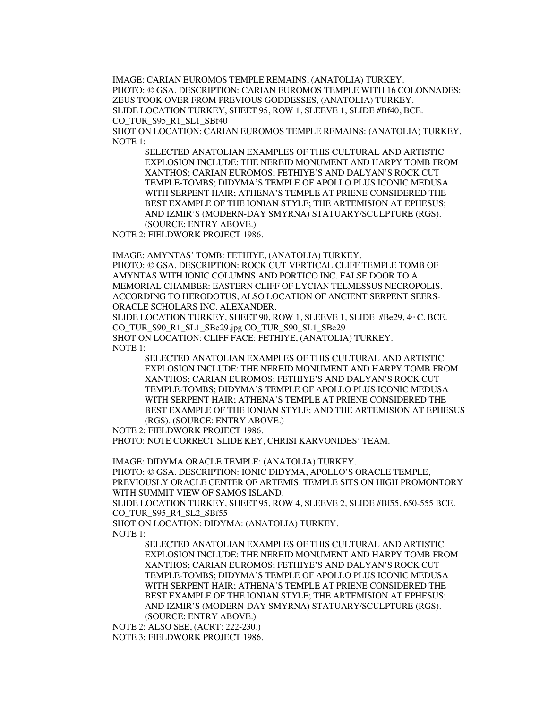IMAGE: CARIAN EUROMOS TEMPLE REMAINS, (ANATOLIA) TURKEY. PHOTO: © GSA. DESCRIPTION: CARIAN EUROMOS TEMPLE WITH 16 COLONNADES: ZEUS TOOK OVER FROM PREVIOUS GODDESSES, (ANATOLIA) TURKEY. SLIDE LOCATION TURKEY, SHEET 95, ROW 1, SLEEVE 1, SLIDE #Bf40, BCE. CO TUR S95 R1 SL1 SBf40

SHOT ON LOCATION: CARIAN EUROMOS TEMPLE REMAINS: (ANATOLIA) TURKEY. NOTE 1:

SELECTED ANATOLIAN EXAMPLES OF THIS CULTURAL AND ARTISTIC EXPLOSION INCLUDE: THE NEREID MONUMENT AND HARPY TOMB FROM XANTHOS; CARIAN EUROMOS; FETHIYE'S AND DALYAN'S ROCK CUT TEMPLE-TOMBS; DIDYMA'S TEMPLE OF APOLLO PLUS ICONIC MEDUSA WITH SERPENT HAIR; ATHENA'S TEMPLE AT PRIENE CONSIDERED THE BEST EXAMPLE OF THE IONIAN STYLE; THE ARTEMISION AT EPHESUS; AND IZMIR'S (MODERN-DAY SMYRNA) STATUARY/SCULPTURE (RGS). (SOURCE: ENTRY ABOVE.)

NOTE 2: FIELDWORK PROJECT 1986.

IMAGE: AMYNTAS' TOMB: FETHIYE, (ANATOLIA) TURKEY.

PHOTO: © GSA. DESCRIPTION: ROCK CUT VERTICAL CLIFF TEMPLE TOMB OF AMYNTAS WITH IONIC COLUMNS AND PORTICO INC. FALSE DOOR TO A MEMORIAL CHAMBER: EASTERN CLIFF OF LYCIAN TELMESSUS NECROPOLIS. ACCORDING TO HERODOTUS, ALSO LOCATION OF ANCIENT SERPENT SEERS-ORACLE SCHOLARS INC. ALEXANDER.

SLIDE LOCATION TURKEY, SHEET 90, ROW 1, SLEEVE 1, SLIDE #Be29, 4<sup>TH</sup> C. BCE. CO\_TUR\_S90\_R1\_SL1\_SBe29.jpg CO\_TUR\_S90\_SL1\_SBe29 SHOT ON LOCATION: CLIFF FACE: FETHIYE, (ANATOLIA) TURKEY. NOTE 1:

SELECTED ANATOLIAN EXAMPLES OF THIS CULTURAL AND ARTISTIC EXPLOSION INCLUDE: THE NEREID MONUMENT AND HARPY TOMB FROM XANTHOS; CARIAN EUROMOS; FETHIYE'S AND DALYAN'S ROCK CUT TEMPLE-TOMBS; DIDYMA'S TEMPLE OF APOLLO PLUS ICONIC MEDUSA WITH SERPENT HAIR; ATHENA'S TEMPLE AT PRIENE CONSIDERED THE BEST EXAMPLE OF THE IONIAN STYLE; AND THE ARTEMISION AT EPHESUS (RGS). (SOURCE: ENTRY ABOVE.)

NOTE 2: FIELDWORK PROJECT 1986.

PHOTO: NOTE CORRECT SLIDE KEY, CHRISI KARVONIDES' TEAM.

IMAGE: DIDYMA ORACLE TEMPLE: (ANATOLIA) TURKEY.

PHOTO: © GSA. DESCRIPTION: IONIC DIDYMA, APOLLO'S ORACLE TEMPLE, PREVIOUSLY ORACLE CENTER OF ARTEMIS. TEMPLE SITS ON HIGH PROMONTORY WITH SUMMIT VIEW OF SAMOS ISLAND.

SLIDE LOCATION TURKEY, SHEET 95, ROW 4, SLEEVE 2, SLIDE #Bf55, 650-555 BCE. CO TUR S95 R4 SL2 SBf55

SHOT ON LOCATION: DIDYMA: (ANATOLIA) TURKEY.

NOTE 1:

SELECTED ANATOLIAN EXAMPLES OF THIS CULTURAL AND ARTISTIC EXPLOSION INCLUDE: THE NEREID MONUMENT AND HARPY TOMB FROM XANTHOS; CARIAN EUROMOS; FETHIYE'S AND DALYAN'S ROCK CUT TEMPLE-TOMBS; DIDYMA'S TEMPLE OF APOLLO PLUS ICONIC MEDUSA WITH SERPENT HAIR; ATHENA'S TEMPLE AT PRIENE CONSIDERED THE BEST EXAMPLE OF THE IONIAN STYLE; THE ARTEMISION AT EPHESUS; AND IZMIR'S (MODERN-DAY SMYRNA) STATUARY/SCULPTURE (RGS). (SOURCE: ENTRY ABOVE.)

NOTE 2: ALSO SEE, (ACRT: 222-230.)

NOTE 3: FIELDWORK PROJECT 1986.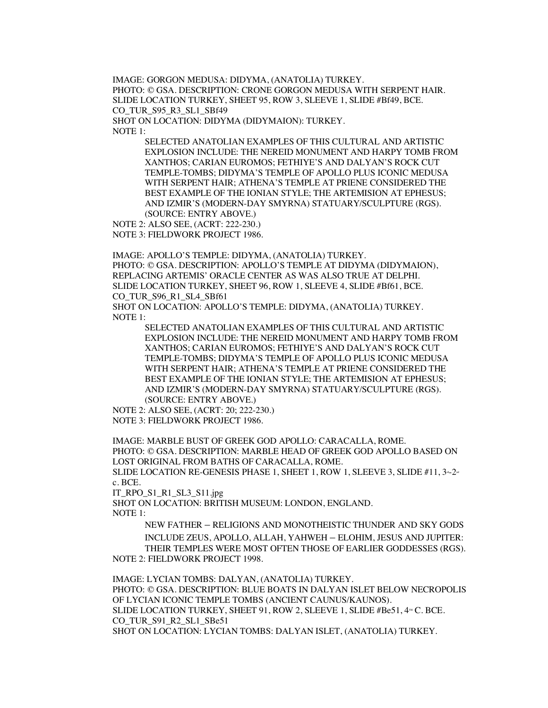IMAGE: GORGON MEDUSA: DIDYMA, (ANATOLIA) TURKEY. PHOTO: © GSA. DESCRIPTION: CRONE GORGON MEDUSA WITH SERPENT HAIR. SLIDE LOCATION TURKEY, SHEET 95, ROW 3, SLEEVE 1, SLIDE #Bf49, BCE. CO\_TUR\_S95\_R3\_SL1\_SBf49 SHOT ON LOCATION: DIDYMA (DIDYMAION): TURKEY. NOTE 1:

SELECTED ANATOLIAN EXAMPLES OF THIS CULTURAL AND ARTISTIC EXPLOSION INCLUDE: THE NEREID MONUMENT AND HARPY TOMB FROM XANTHOS; CARIAN EUROMOS; FETHIYE'S AND DALYAN'S ROCK CUT TEMPLE-TOMBS; DIDYMA'S TEMPLE OF APOLLO PLUS ICONIC MEDUSA WITH SERPENT HAIR; ATHENA'S TEMPLE AT PRIENE CONSIDERED THE BEST EXAMPLE OF THE IONIAN STYLE; THE ARTEMISION AT EPHESUS; AND IZMIR'S (MODERN-DAY SMYRNA) STATUARY/SCULPTURE (RGS). (SOURCE: ENTRY ABOVE.)

NOTE 2: ALSO SEE, (ACRT: 222-230.) NOTE 3: FIELDWORK PROJECT 1986.

IMAGE: APOLLO'S TEMPLE: DIDYMA, (ANATOLIA) TURKEY. PHOTO: © GSA. DESCRIPTION: APOLLO'S TEMPLE AT DIDYMA (DIDYMAION), REPLACING ARTEMIS' ORACLE CENTER AS WAS ALSO TRUE AT DELPHI. SLIDE LOCATION TURKEY, SHEET 96, ROW 1, SLEEVE 4, SLIDE #Bf61, BCE. CO\_TUR\_S96\_R1\_SL4\_SBf61

SHOT ON LOCATION: APOLLO'S TEMPLE: DIDYMA, (ANATOLIA) TURKEY. NOTE 1:

> SELECTED ANATOLIAN EXAMPLES OF THIS CULTURAL AND ARTISTIC EXPLOSION INCLUDE: THE NEREID MONUMENT AND HARPY TOMB FROM XANTHOS; CARIAN EUROMOS; FETHIYE'S AND DALYAN'S ROCK CUT TEMPLE-TOMBS; DIDYMA'S TEMPLE OF APOLLO PLUS ICONIC MEDUSA WITH SERPENT HAIR; ATHENA'S TEMPLE AT PRIENE CONSIDERED THE BEST EXAMPLE OF THE IONIAN STYLE; THE ARTEMISION AT EPHESUS; AND IZMIR'S (MODERN-DAY SMYRNA) STATUARY/SCULPTURE (RGS). (SOURCE: ENTRY ABOVE.)

NOTE 2: ALSO SEE, (ACRT: 20; 222-230.) NOTE 3: FIELDWORK PROJECT 1986.

IMAGE: MARBLE BUST OF GREEK GOD APOLLO: CARACALLA, ROME. PHOTO: © GSA. DESCRIPTION: MARBLE HEAD OF GREEK GOD APOLLO BASED ON LOST ORIGINAL FROM BATHS OF CARACALLA, ROME.

SLIDE LOCATION RE-GENESIS PHASE 1, SHEET 1, ROW 1, SLEEVE 3, SLIDE #11,  $3-2a$ c. BCE.

IT\_RPO\_S1\_R1\_SL3\_S11.jpg

SHOT ON LOCATION: BRITISH MUSEUM: LONDON, ENGLAND. NOTE 1:

NEW FATHER – RELIGIONS AND MONOTHEISTIC THUNDER AND SKY GODS INCLUDE ZEUS, APOLLO, ALLAH, YAHWEH – ELOHIM, JESUS AND JUPITER: THEIR TEMPLES WERE MOST OFTEN THOSE OF EARLIER GODDESSES (RGS).

NOTE 2: FIELDWORK PROJECT 1998.

IMAGE: LYCIAN TOMBS: DALYAN, (ANATOLIA) TURKEY. PHOTO: © GSA. DESCRIPTION: BLUE BOATS IN DALYAN ISLET BELOW NECROPOLIS OF LYCIAN ICONIC TEMPLE TOMBS (ANCIENT CAUNUS/KAUNOS). SLIDE LOCATION TURKEY, SHEET 91, ROW 2, SLEEVE 1, SLIDE  $#Be51, 4 \cdot \cdot \cdot$ C. BCE. CO TUR S91 R2 SL1 SBe51 SHOT ON LOCATION: LYCIAN TOMBS: DALYAN ISLET, (ANATOLIA) TURKEY.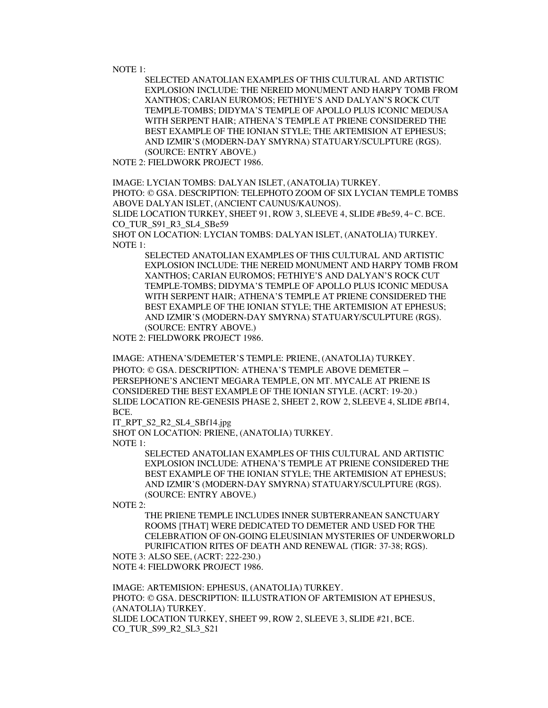NOTE 1:

SELECTED ANATOLIAN EXAMPLES OF THIS CULTURAL AND ARTISTIC EXPLOSION INCLUDE: THE NEREID MONUMENT AND HARPY TOMB FROM XANTHOS; CARIAN EUROMOS; FETHIYE'S AND DALYAN'S ROCK CUT TEMPLE-TOMBS; DIDYMA'S TEMPLE OF APOLLO PLUS ICONIC MEDUSA WITH SERPENT HAIR; ATHENA'S TEMPLE AT PRIENE CONSIDERED THE BEST EXAMPLE OF THE IONIAN STYLE; THE ARTEMISION AT EPHESUS; AND IZMIR'S (MODERN-DAY SMYRNA) STATUARY/SCULPTURE (RGS). (SOURCE: ENTRY ABOVE.)

NOTE 2: FIELDWORK PROJECT 1986.

IMAGE: LYCIAN TOMBS: DALYAN ISLET, (ANATOLIA) TURKEY. PHOTO: © GSA. DESCRIPTION: TELEPHOTO ZOOM OF SIX LYCIAN TEMPLE TOMBS ABOVE DALYAN ISLET, (ANCIENT CAUNUS/KAUNOS). SLIDE LOCATION TURKEY, SHEET 91, ROW 3, SLEEVE 4, SLIDE #Be59,  $4<sup>m</sup>$ C. BCE. CO\_TUR\_S91\_R3\_SL4\_SBe59

SHOT ON LOCATION: LYCIAN TOMBS: DALYAN ISLET, (ANATOLIA) TURKEY. NOTE 1:

SELECTED ANATOLIAN EXAMPLES OF THIS CULTURAL AND ARTISTIC EXPLOSION INCLUDE: THE NEREID MONUMENT AND HARPY TOMB FROM XANTHOS; CARIAN EUROMOS; FETHIYE'S AND DALYAN'S ROCK CUT TEMPLE-TOMBS; DIDYMA'S TEMPLE OF APOLLO PLUS ICONIC MEDUSA WITH SERPENT HAIR; ATHENA'S TEMPLE AT PRIENE CONSIDERED THE BEST EXAMPLE OF THE IONIAN STYLE; THE ARTEMISION AT EPHESUS; AND IZMIR'S (MODERN-DAY SMYRNA) STATUARY/SCULPTURE (RGS). (SOURCE: ENTRY ABOVE.)

NOTE 2: FIELDWORK PROJECT 1986.

IMAGE: ATHENA'S/DEMETER'S TEMPLE: PRIENE, (ANATOLIA) TURKEY. PHOTO: © GSA. DESCRIPTION: ATHENA'S TEMPLE ABOVE DEMETER – PERSEPHONE'S ANCIENT MEGARA TEMPLE, ON MT. MYCALE AT PRIENE IS CONSIDERED THE BEST EXAMPLE OF THE IONIAN STYLE. (ACRT: 19-20.) SLIDE LOCATION RE-GENESIS PHASE 2, SHEET 2, ROW 2, SLEEVE 4, SLIDE #Bf14, BCE.

IT\_RPT\_S2\_R2\_SL4\_SBf14.jpg

SHOT ON LOCATION: PRIENE, (ANATOLIA) TURKEY.

NOTE 1:

SELECTED ANATOLIAN EXAMPLES OF THIS CULTURAL AND ARTISTIC EXPLOSION INCLUDE: ATHENA'S TEMPLE AT PRIENE CONSIDERED THE BEST EXAMPLE OF THE IONIAN STYLE; THE ARTEMISION AT EPHESUS; AND IZMIR'S (MODERN-DAY SMYRNA) STATUARY/SCULPTURE (RGS). (SOURCE: ENTRY ABOVE.)

NOTE 2:

THE PRIENE TEMPLE INCLUDES INNER SUBTERRANEAN SANCTUARY ROOMS [THAT] WERE DEDICATED TO DEMETER AND USED FOR THE CELEBRATION OF ON-GOING ELEUSINIAN MYSTERIES OF UNDERWORLD PURIFICATION RITES OF DEATH AND RENEWAL (TIGR: 37-38; RGS).

NOTE 3: ALSO SEE, (ACRT: 222-230.)

NOTE 4: FIELDWORK PROJECT 1986.

IMAGE: ARTEMISION: EPHESUS, (ANATOLIA) TURKEY. PHOTO: © GSA. DESCRIPTION: ILLUSTRATION OF ARTEMISION AT EPHESUS, (ANATOLIA) TURKEY. SLIDE LOCATION TURKEY, SHEET 99, ROW 2, SLEEVE 3, SLIDE #21, BCE. CO\_TUR\_S99\_R2\_SL3\_S21